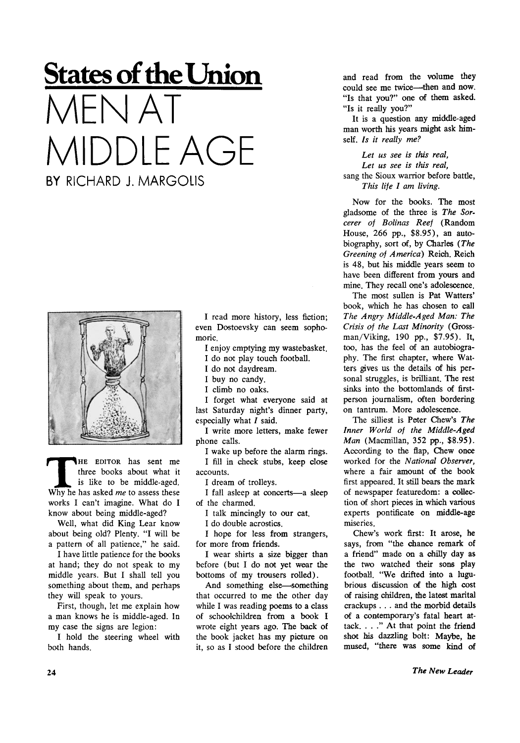## **States of the Union**   $A$ FNI $\Delta$ MIDDLE AGE BY RICHARD J. MARGOLIS



**THE EDITOR has sent me**<br>three books about what it<br>is like to be middle-aged.<br>Why he has asked *me* to assess these **HE EDITOR** has sent me three books about what it is like to be middle-aged. works I can't imagine. What do I know about being middle-aged?

Well, what did King Lear know about being old? Plenty. "I will be a pattern of all patience," he said.

I have little patience for the books at hand; they do not speak to my middle years. But I shall tell you something about them, and perhaps they will speak to yours.

First, though, let me explain how a man knows he is middle-aged. In my case the signs are legion:

I hold the steering wheel with both hands.

I read more history, less fiction; even Dostoevsky can seem sophomoric.

I enjoy emptying my wastebasket.

I do not play touch football.

I do not daydream.

I buy no candy.

I climb no oaks.

I forget what everyone said at last Saturday night's dinner party, especially what  $I$  said.

I write more letters, make fewer phone calls.

I wake up before the alarm rings. I fill in check stubs, keep close accounts.

I dream of trolleys.

I fall asleep at concerts—a sleep of the charmed.

I talk mincingly to our cat.

I do double acrostics.

I hope for less from strangers, for more from friends.

I wear shirts a size bigger than before (but I do not yet wear the bottoms of my trousers rolled).

And something else—something that occurred to me the other day while I was reading poems to a class of schoolchildren from a book I wrote eight years ago. The back of the book jacket has my picture on it, so as I stood before the children and read from the volume they could see me twice—them and now. "Is that you?" one of them asked. "Is it really you?"

It is a question any middle-aged man worth his years might ask himself. *Is it really me?* 

*Let us see is this real, Let us see is this real,*  sang the Sioux warrior before battle, *This life I am living.* 

Now for the books. The most gladsome of the three is *The Sorcerer of Bolinas Reef* (Random House, 266 pp., \$8.95), an autobiography, sort of, by Charles *(The Greening of America)* Reich. Reich is 48, but his middle years seem to have been different from yours and mine. They recall one's adolescence.

The most sullen is Pat Watters' book, which he has chosen to call *The Angry Middle-Aged Man: The Crisis of the Last Minority* (Grossman/Viking, 190 pp., \$7.95). It, too, has the feel of an autobiography. The first chapter, where Watters gives us the details of his personal struggles, is brilliant. The rest sinks into the bottomlands of firstperson journalism, often bordering on tantrum. More adolescence.

The silliest is Peter Chew's *The Inner World of the Middle-Aged Man* (Macmillan, 352 pp., \$8.95). According to the flap, Chew once worked for the *National Observer,*  where a fair amount of the book first appeared. It still bears the mark of newspaper featuredom: a collection of short pieces in which various experts pontificate on middle-age miseries.

Chew's work first: It arose, he says, from "the chance remark of a friend" made on a chilly day as the two watched their sons play football. "We drifted into a lugubrious discussion of the high cost of raising children, the latest marital crackups . . . and the morbid details of a contemporary's fatal heart attack. ... " At that point the friend shot his dazzling bolt: Maybe, he mused, "there was some kind of